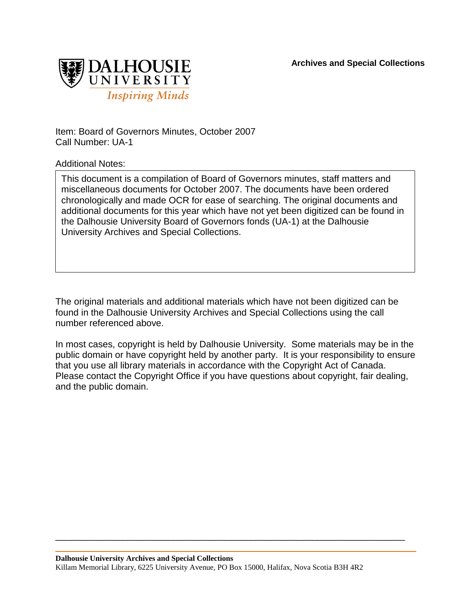**Archives and Special Collections**



Item: Board of Governors Minutes, October 2007 Call Number: UA-1

Additional Notes:

This document is a compilation of Board of Governors minutes, staff matters and miscellaneous documents for October 2007. The documents have been ordered chronologically and made OCR for ease of searching. The original documents and additional documents for this year which have not yet been digitized can be found in the Dalhousie University Board of Governors fonds (UA-1) at the Dalhousie University Archives and Special Collections.

The original materials and additional materials which have not been digitized can be found in the Dalhousie University Archives and Special Collections using the call number referenced above.

In most cases, copyright is held by Dalhousie University. Some materials may be in the public domain or have copyright held by another party. It is your responsibility to ensure that you use all library materials in accordance with the Copyright Act of Canada. Please contact the Copyright Office if you have questions about copyright, fair dealing, and the public domain.

\_\_\_\_\_\_\_\_\_\_\_\_\_\_\_\_\_\_\_\_\_\_\_\_\_\_\_\_\_\_\_\_\_\_\_\_\_\_\_\_\_\_\_\_\_\_\_\_\_\_\_\_\_\_\_\_\_\_\_\_\_\_\_\_\_\_\_\_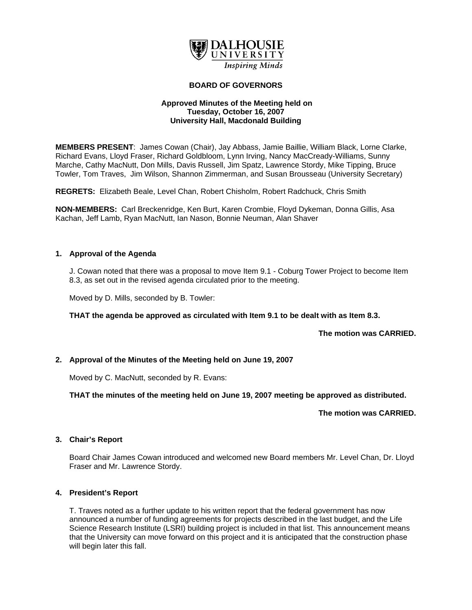

# **BOARD OF GOVERNORS**

## **Approved Minutes of the Meeting held on Tuesday, October 16, 2007 University Hall, Macdonald Building**

**MEMBERS PRESENT**: James Cowan (Chair), Jay Abbass, Jamie Baillie, William Black, Lorne Clarke, Richard Evans, Lloyd Fraser, Richard Goldbloom, Lynn Irving, Nancy MacCready-Williams, Sunny Marche, Cathy MacNutt, Don Mills, Davis Russell, Jim Spatz, Lawrence Stordy, Mike Tipping, Bruce Towler, Tom Traves, Jim Wilson, Shannon Zimmerman, and Susan Brousseau (University Secretary)

**REGRETS:** Elizabeth Beale, Level Chan, Robert Chisholm, Robert Radchuck, Chris Smith

**NON-MEMBERS:** Carl Breckenridge, Ken Burt, Karen Crombie, Floyd Dykeman, Donna Gillis, Asa Kachan, Jeff Lamb, Ryan MacNutt, Ian Nason, Bonnie Neuman, Alan Shaver

## **1. Approval of the Agenda**

J. Cowan noted that there was a proposal to move Item 9.1 - Coburg Tower Project to become Item 8.3, as set out in the revised agenda circulated prior to the meeting.

Moved by D. Mills, seconded by B. Towler:

**THAT the agenda be approved as circulated with Item 9.1 to be dealt with as Item 8.3.** 

**The motion was CARRIED.** 

# **2. Approval of the Minutes of the Meeting held on June 19, 2007**

Moved by C. MacNutt, seconded by R. Evans:

**THAT the minutes of the meeting held on June 19, 2007 meeting be approved as distributed.** 

**The motion was CARRIED.** 

## **3. Chair's Report**

Board Chair James Cowan introduced and welcomed new Board members Mr. Level Chan, Dr. Lloyd Fraser and Mr. Lawrence Stordy.

## **4. President's Report**

T. Traves noted as a further update to his written report that the federal government has now announced a number of funding agreements for projects described in the last budget, and the Life Science Research Institute (LSRI) building project is included in that list. This announcement means that the University can move forward on this project and it is anticipated that the construction phase will begin later this fall.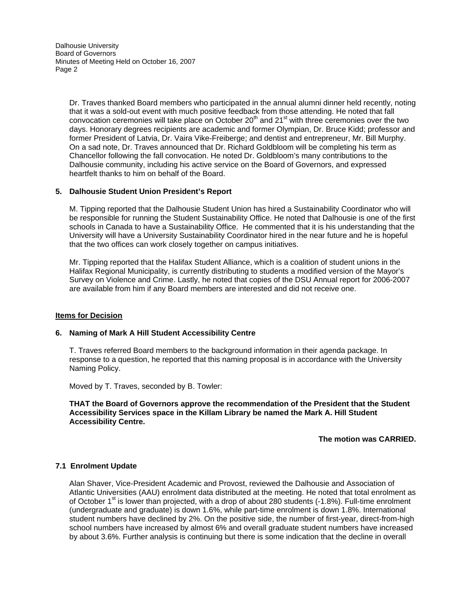Dr. Traves thanked Board members who participated in the annual alumni dinner held recently, noting that it was a sold-out event with much positive feedback from those attending. He noted that fall convocation ceremonies will take place on October 20<sup>th</sup> and 21<sup>st</sup> with three ceremonies over the two days. Honorary degrees recipients are academic and former Olympian, Dr. Bruce Kidd; professor and former President of Latvia, Dr. Vaira Vike-Freiberge; and dentist and entrepreneur, Mr. Bill Murphy. On a sad note, Dr. Traves announced that Dr. Richard Goldbloom will be completing his term as Chancellor following the fall convocation. He noted Dr. Goldbloom's many contributions to the Dalhousie community, including his active service on the Board of Governors, and expressed heartfelt thanks to him on behalf of the Board.

## **5. Dalhousie Student Union President's Report**

M. Tipping reported that the Dalhousie Student Union has hired a Sustainability Coordinator who will be responsible for running the Student Sustainability Office. He noted that Dalhousie is one of the first schools in Canada to have a Sustainability Office. He commented that it is his understanding that the University will have a University Sustainability Coordinator hired in the near future and he is hopeful that the two offices can work closely together on campus initiatives.

Mr. Tipping reported that the Halifax Student Alliance, which is a coalition of student unions in the Halifax Regional Municipality, is currently distributing to students a modified version of the Mayor's Survey on Violence and Crime. Lastly, he noted that copies of the DSU Annual report for 2006-2007 are available from him if any Board members are interested and did not receive one.

## **Items for Decision**

## **6. Naming of Mark A Hill Student Accessibility Centre**

T. Traves referred Board members to the background information in their agenda package. In response to a question, he reported that this naming proposal is in accordance with the University Naming Policy.

Moved by T. Traves, seconded by B. Towler:

**THAT the Board of Governors approve the recommendation of the President that the Student Accessibility Services space in the Killam Library be named the Mark A. Hill Student Accessibility Centre.** 

## **The motion was CARRIED.**

## **7.1 Enrolment Update**

Alan Shaver, Vice-President Academic and Provost, reviewed the Dalhousie and Association of Atlantic Universities (AAU) enrolment data distributed at the meeting. He noted that total enrolment as of October 1<sup>st</sup> is lower than projected, with a drop of about 280 students (-1.8%). Full-time enrolment (undergraduate and graduate) is down 1.6%, while part-time enrolment is down 1.8%. International student numbers have declined by 2%. On the positive side, the number of first-year, direct-from-high school numbers have increased by almost 6% and overall graduate student numbers have increased by about 3.6%. Further analysis is continuing but there is some indication that the decline in overall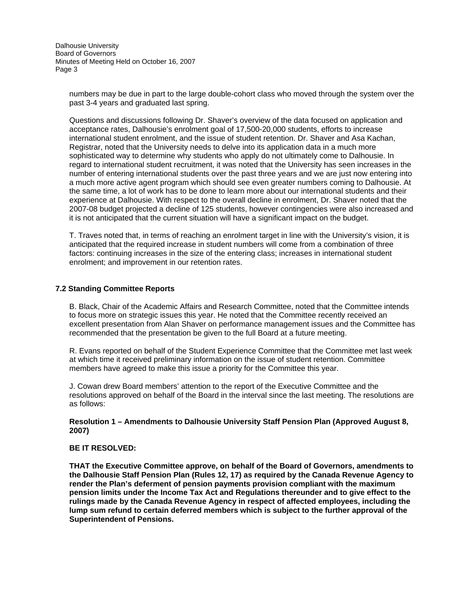> numbers may be due in part to the large double-cohort class who moved through the system over the past 3-4 years and graduated last spring.

> Questions and discussions following Dr. Shaver's overview of the data focused on application and acceptance rates, Dalhousie's enrolment goal of 17,500-20,000 students, efforts to increase international student enrolment, and the issue of student retention. Dr. Shaver and Asa Kachan, Registrar, noted that the University needs to delve into its application data in a much more sophisticated way to determine why students who apply do not ultimately come to Dalhousie. In regard to international student recruitment, it was noted that the University has seen increases in the number of entering international students over the past three years and we are just now entering into a much more active agent program which should see even greater numbers coming to Dalhousie. At the same time, a lot of work has to be done to learn more about our international students and their experience at Dalhousie. With respect to the overall decline in enrolment, Dr. Shaver noted that the 2007-08 budget projected a decline of 125 students, however contingencies were also increased and it is not anticipated that the current situation will have a significant impact on the budget.

> T. Traves noted that, in terms of reaching an enrolment target in line with the University's vision, it is anticipated that the required increase in student numbers will come from a combination of three factors: continuing increases in the size of the entering class; increases in international student enrolment; and improvement in our retention rates.

#### **7.2 Standing Committee Reports**

B. Black, Chair of the Academic Affairs and Research Committee, noted that the Committee intends to focus more on strategic issues this year. He noted that the Committee recently received an excellent presentation from Alan Shaver on performance management issues and the Committee has recommended that the presentation be given to the full Board at a future meeting.

R. Evans reported on behalf of the Student Experience Committee that the Committee met last week at which time it received preliminary information on the issue of student retention. Committee members have agreed to make this issue a priority for the Committee this year.

J. Cowan drew Board members' attention to the report of the Executive Committee and the resolutions approved on behalf of the Board in the interval since the last meeting. The resolutions are as follows:

## **Resolution 1 – Amendments to Dalhousie University Staff Pension Plan (Approved August 8, 2007)**

#### **BE IT RESOLVED:**

**THAT the Executive Committee approve, on behalf of the Board of Governors, amendments to the Dalhousie Staff Pension Plan (Rules 12, 17) as required by the Canada Revenue Agency to render the Plan's deferment of pension payments provision compliant with the maximum pension limits under the Income Tax Act and Regulations thereunder and to give effect to the rulings made by the Canada Revenue Agency in respect of affected employees, including the lump sum refund to certain deferred members which is subject to the further approval of the Superintendent of Pensions.**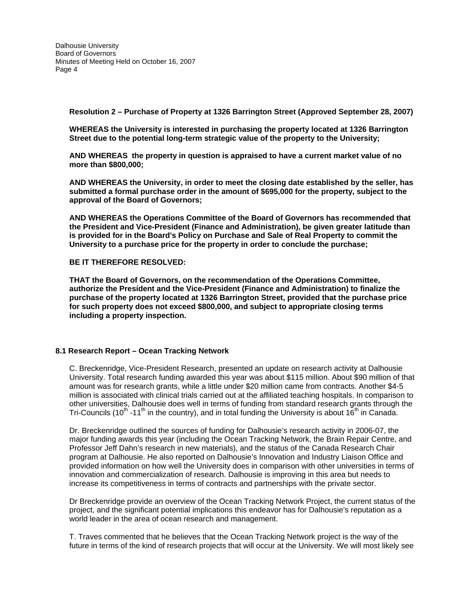**Resolution 2 – Purchase of Property at 1326 Barrington Street (Approved September 28, 2007)** 

**WHEREAS the University is interested in purchasing the property located at 1326 Barrington Street due to the potential long-term strategic value of the property to the University;** 

**AND WHEREAS the property in question is appraised to have a current market value of no more than \$800,000;** 

**AND WHEREAS the University, in order to meet the closing date established by the seller, has submitted a formal purchase order in the amount of \$695,000 for the property, subject to the approval of the Board of Governors;** 

**AND WHEREAS the Operations Committee of the Board of Governors has recommended that the President and Vice-President (Finance and Administration), be given greater latitude than is provided for in the Board's Policy on Purchase and Sale of Real Property to commit the University to a purchase price for the property in order to conclude the purchase;** 

#### **BE IT THEREFORE RESOLVED:**

**THAT the Board of Governors, on the recommendation of the Operations Committee, authorize the President and the Vice-President (Finance and Administration) to finalize the purchase of the property located at 1326 Barrington Street, provided that the purchase price for such property does not exceed \$800,000, and subject to appropriate closing terms including a property inspection.** 

#### **8.1 Research Report – Ocean Tracking Network**

C. Breckenridge, Vice-President Research, presented an update on research activity at Dalhousie University. Total research funding awarded this year was about \$115 million. About \$90 million of that amount was for research grants, while a little under \$20 million came from contracts. Another \$4-5 million is associated with clinical trials carried out at the affiliated teaching hospitals. In comparison to other universities, Dalhousie does well in terms of funding from standard research grants through the Tri-Councils (10<sup>th</sup> -11<sup>th</sup> in the country), and in total funding the University is about 16<sup>th</sup> in Canada.

Dr. Breckenridge outlined the sources of funding for Dalhousie's research activity in 2006-07, the major funding awards this year (including the Ocean Tracking Network, the Brain Repair Centre, and Professor Jeff Dahn's research in new materials), and the status of the Canada Research Chair program at Dalhousie. He also reported on Dalhousie's Innovation and Industry Liaison Office and provided information on how well the University does in comparison with other universities in terms of innovation and commercialization of research. Dalhousie is improving in this area but needs to increase its competitiveness in terms of contracts and partnerships with the private sector.

Dr Breckenridge provide an overview of the Ocean Tracking Network Project, the current status of the project, and the significant potential implications this endeavor has for Dalhousie's reputation as a world leader in the area of ocean research and management.

T. Traves commented that he believes that the Ocean Tracking Network project is the way of the future in terms of the kind of research projects that will occur at the University. We will most likely see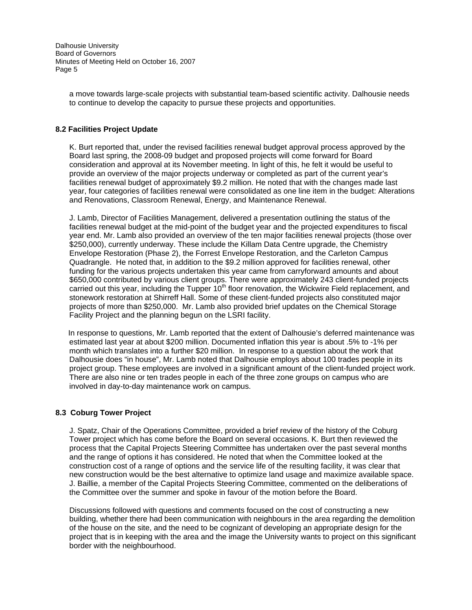> a move towards large-scale projects with substantial team-based scientific activity. Dalhousie needs to continue to develop the capacity to pursue these projects and opportunities.

## **8.2 Facilities Project Update**

K. Burt reported that, under the revised facilities renewal budget approval process approved by the Board last spring, the 2008-09 budget and proposed projects will come forward for Board consideration and approval at its November meeting. In light of this, he felt it would be useful to provide an overview of the major projects underway or completed as part of the current year's facilities renewal budget of approximately \$9.2 million. He noted that with the changes made last year, four categories of facilities renewal were consolidated as one line item in the budget: Alterations and Renovations, Classroom Renewal, Energy, and Maintenance Renewal.

 J. Lamb, Director of Facilities Management, delivered a presentation outlining the status of the facilities renewal budget at the mid-point of the budget year and the projected expenditures to fiscal year end. Mr. Lamb also provided an overview of the ten major facilities renewal projects (those over \$250,000), currently underway. These include the Killam Data Centre upgrade, the Chemistry Envelope Restoration (Phase 2), the Forrest Envelope Restoration, and the Carleton Campus Quadrangle. He noted that, in addition to the \$9.2 million approved for facilities renewal, other funding for the various projects undertaken this year came from carryforward amounts and about \$650,000 contributed by various client groups. There were approximately 243 client-funded projects carried out this year, including the Tupper  $10<sup>th</sup>$  floor renovation, the Wickwire Field replacement, and stonework restoration at Shirreff Hall. Some of these client-funded projects also constituted major projects of more than \$250,000. Mr. Lamb also provided brief updates on the Chemical Storage Facility Project and the planning begun on the LSRI facility.

 In response to questions, Mr. Lamb reported that the extent of Dalhousie's deferred maintenance was estimated last year at about \$200 million. Documented inflation this year is about .5% to -1% per month which translates into a further \$20 million. In response to a question about the work that Dalhousie does "in house", Mr. Lamb noted that Dalhousie employs about 100 trades people in its project group. These employees are involved in a significant amount of the client-funded project work. There are also nine or ten trades people in each of the three zone groups on campus who are involved in day-to-day maintenance work on campus.

## **8.3 Coburg Tower Project**

J. Spatz, Chair of the Operations Committee, provided a brief review of the history of the Coburg Tower project which has come before the Board on several occasions. K. Burt then reviewed the process that the Capital Projects Steering Committee has undertaken over the past several months and the range of options it has considered. He noted that when the Committee looked at the construction cost of a range of options and the service life of the resulting facility, it was clear that new construction would be the best alternative to optimize land usage and maximize available space. J. Baillie, a member of the Capital Projects Steering Committee, commented on the deliberations of the Committee over the summer and spoke in favour of the motion before the Board.

Discussions followed with questions and comments focused on the cost of constructing a new building, whether there had been communication with neighbours in the area regarding the demolition of the house on the site, and the need to be cognizant of developing an appropriate design for the project that is in keeping with the area and the image the University wants to project on this significant border with the neighbourhood.